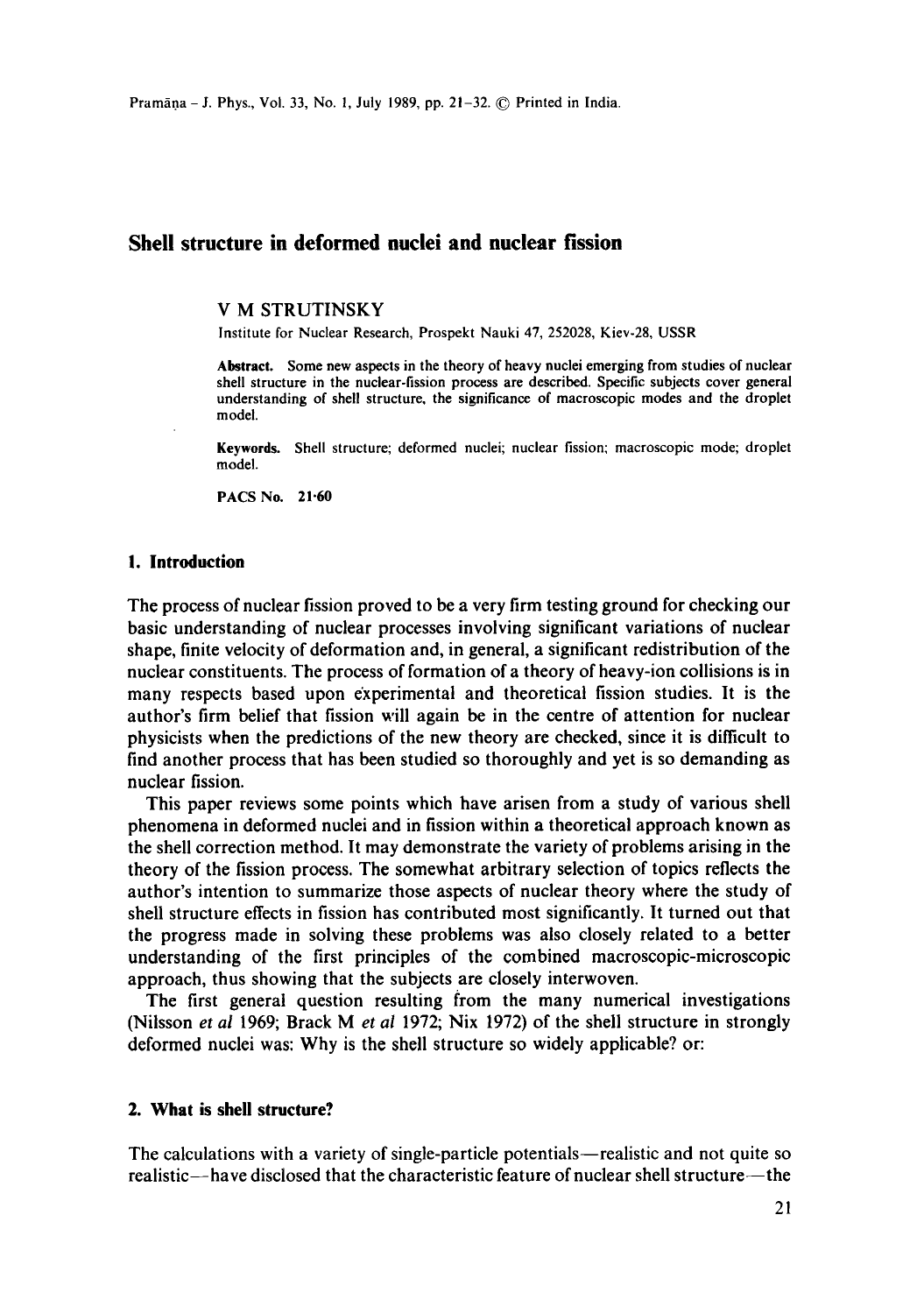# **Shell structure in deformed nuclei and nuclear fission**

### V M STRUTINSKY

Institute for Nuclear Research, Prospekt Nauki 47, 252028, Kiev-28, USSR

**Abstract. Some new** aspects in the theory of heavy nuclei emerging from studies of nuclear shell structure in the nuclear-fission process are described. Specific subjects cover general understanding of shell structure, the significance of macroscopic modes and the droplet model.

**Keywnrds.** Shell structure; deformed nuclei; nuclear fission; macroscopic mode; droplet model.

**PACS No. 21.60** 

#### **I. Introduction**

The process of nuclear fission proved to be a very firm testing ground for checking our basic understanding of nuclear processes involving significant variations of nuclear shape, finite velocity of deformation and, in general, a significant redistribution of the nuclear constituents. The process of formation of a theory of heavy-ion collisions is in many respects based upon experimental and theoretical fission studies. It is the author's firm belief that fission will again be in the centre of attention for nuclear physicists when the predictions of the new theory are checked, since it is difficult to find another process that has been studied so thoroughly and yet is so demanding as nuclear fission.

This paper reviews some points which have arisen from a study of various shell phenomena in deformed nuclei and in fission within a theoretical approach known as the shell correction method. It may demonstrate the variety of problems arising in the theory of the fission process. The somewhat arbitrary selection of topics reflects the author's intention to summarize those aspects of nuclear theory where the study of shell structure effects in fission has contributed most significantly, It turned out that the progress made in solving these problems was also closely related to a better understanding of the first principles of the combined macroscopic-microscopic approach, thus showing that the subjects are closely interwoven.

The first general question resulting from the many numerical investigations (Niisson *et al* 1969; Brack Met *al* 1972; Nix 1972) of the shell structure in strongly deformed nuclei was: Why is the shell structure so widely applicable? or:

# **2. What is shell structure?**

The calculations with a variety of single-particle potentials—realistic and not quite so realistic--have disclosed that the characteristic feature of nuclear shell structure--the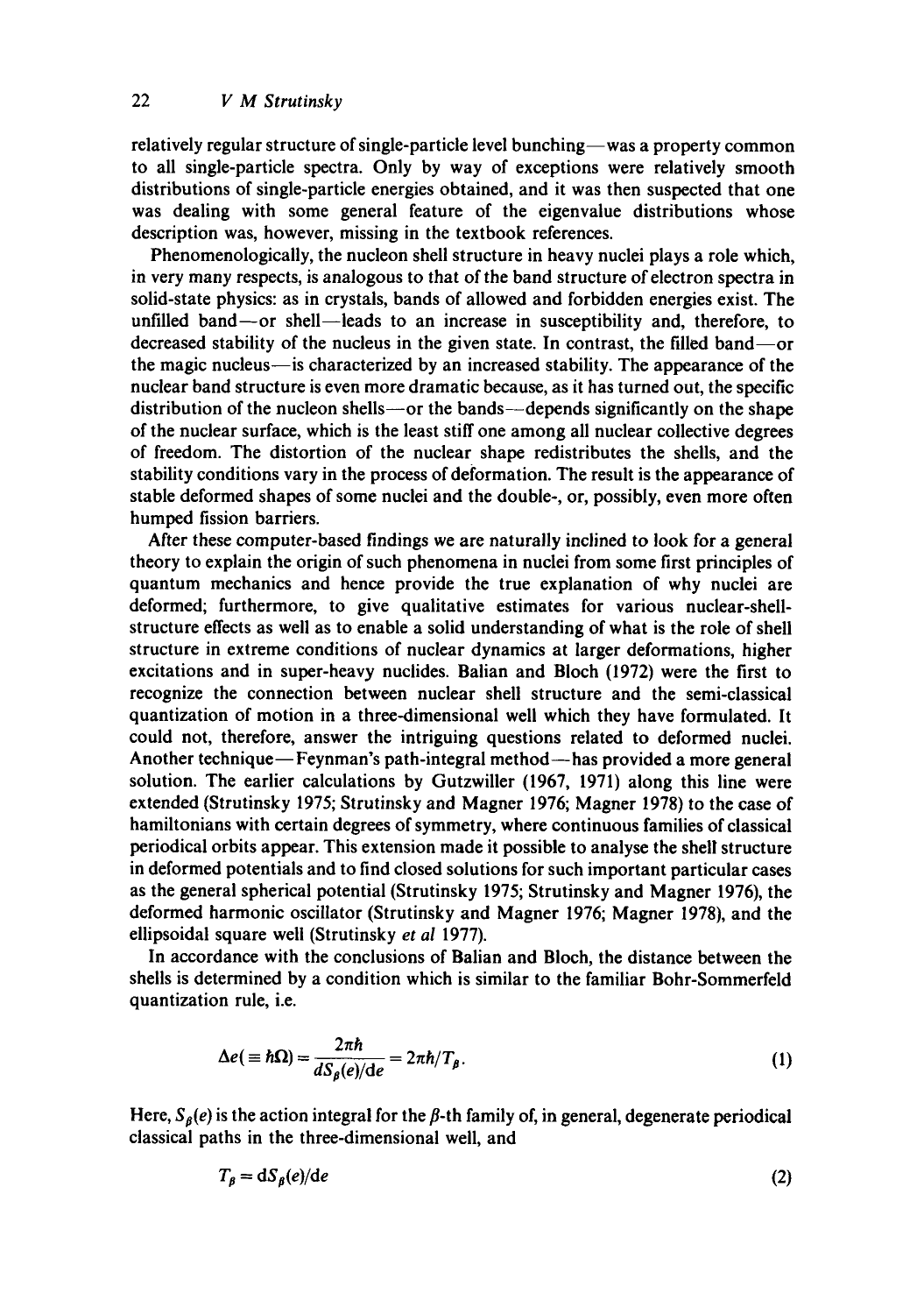relatively regular structure of single-particle level bunching-was a property common to all single-particle spectra. Only by way of exceptions were relatively smooth distributions of single-particle energies obtained, and it was then suspected that one was dealing with some general feature of the eigenvalue distributions whose description was, however, missing in the textbook references.

Phenomenologicaily, the nucleon shell structure in heavy nuclei plays a role which, in very many respects, is analogous to that of the band structure of electron spectra in solid-state physics: as in crystals, bands of allowed and forbidden energies exist. The unfilled band--or shell--leads to an increase in susceptibility and, therefore, to decreased stability of the nucleus in the given state. In contrast, the filled band--or the magic nucleus-is characterized by an increased stability. The appearance of the nuclear band structure is even more dramatic because, as it has turned out, the specific distribution of the nucleon shells--or the bands--depends significantly on the shape of the nuclear surface, which is the least stiff one among all nuclear collective degrees of freedom. The distortion of the nuclear shape redistributes the shells, and the stability conditions vary in the process of deformation. The result is the appearance of stable deformed shapes of some nuclei and the double-, or, possibly, even more often humped fission barriers.

After these computer-based findings we are naturally inclined to look for a general theory to explain the origin of such phenomena in nuclei from some first principles of quantum mechanics and hence provide the true explanation of why nuclei are deformed; furthermore, to give qualitative estimates for various nuclear-shellstructure effects as well as to enable a solid understanding of what is the role of shell structure in extreme conditions of nuclear dynamics at larger deformations, higher excitations and in super-heavy nuclides. Balian and Bioch (1972) were the first to recognize the connection between nuclear shell structure and the semi-classical quantization of motion in a three-dimensional well which they have formulated. It could not, therefore, answer the intriguing questions related to deformed nuclei. Another technique—Feynman's path-integral method—has provided a more general solution. The earlier calculations by Gutzwiller (1967, 1971) along this line were extended (Strutinsky 1975; Strutinsky and Magner 1976; Magner 1978) to the case of hamiltonians with certain degrees of symmetry, where continuous families of classical periodical orbits appear. This extension made it possible to analyse the shell structure in deformed potentials and to find closed solutions for such important particular cases as the general spherical potential (Strutinsky 1975; Strutinsky and Magner 1976), the deformed harmonic oscillator (Strutinsky and Magner 1976; Magner 1978), and the ellipsoidal square well (Strutinsky *et al* 1977).

In accordance with the conclusions of Balian and Bloch, the distance between the shells is determined by a condition which is similar to the familiar Bohr-Sommerfeld quantization rule, i.e.

$$
\Delta e(\equiv \hbar \Omega) = \frac{2\pi \hbar}{d S_{\beta}(e)/\text{d}e} = 2\pi \hbar / T_{\beta}.
$$
 (1)

Here,  $S_{\beta}(e)$  is the action integral for the  $\beta$ -th family of, in general, degenerate periodical classical paths in the three-dimensional well, and

$$
T_{\beta} = dS_{\beta}(e)/de \tag{2}
$$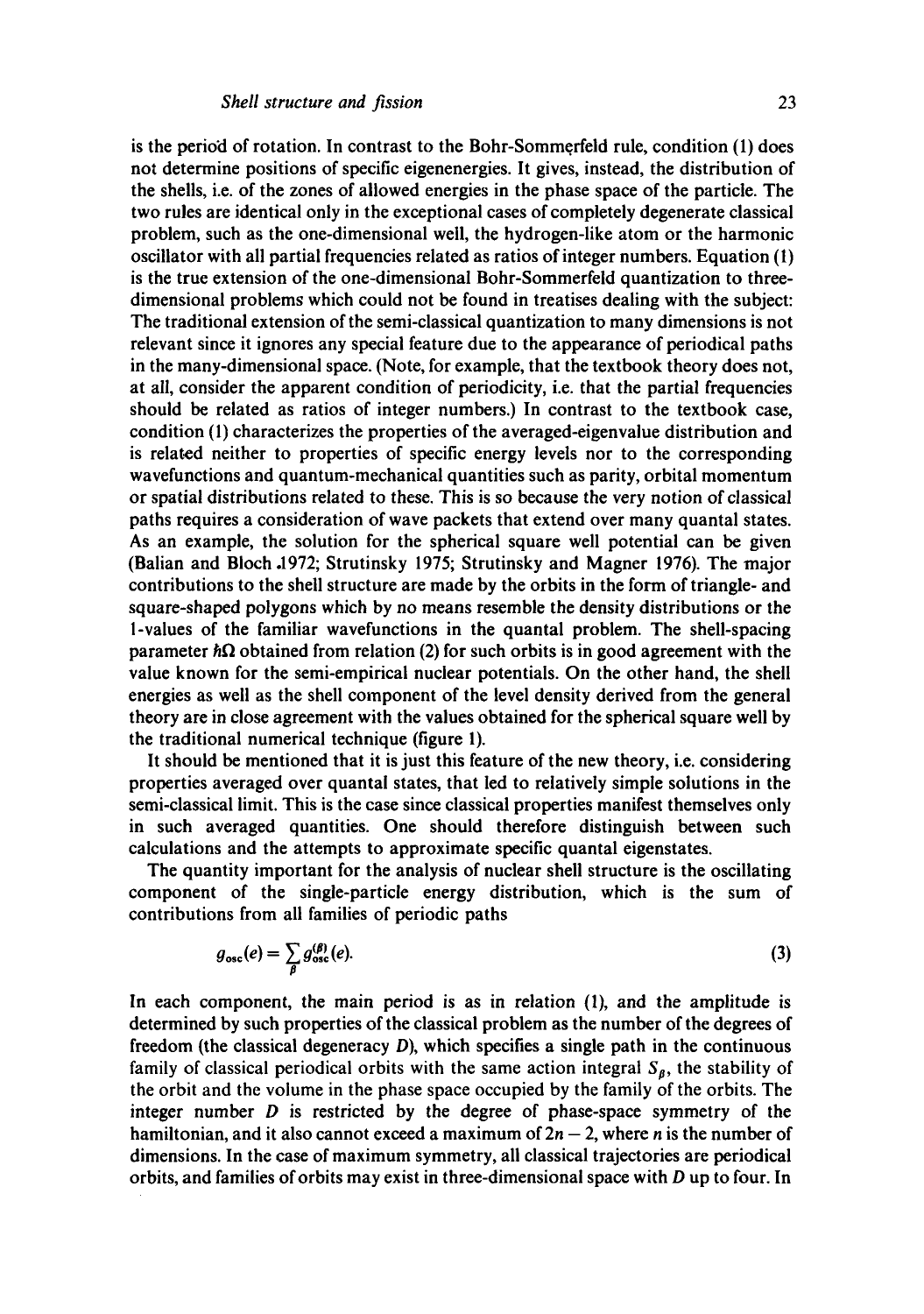is the period of rotation. In contrast to the Bohr-Sommerfeld rule, condition (1) does not determine positions of specific eigenenergies. It gives, instead, the distribution of the shells, i.e. of the zones of allowed energies in the phase space of the particle. The two rules are identical only in the exceptional cases of completely degenerate classical problem, such as the one-dimensional well, the hydrogen-like atom or the harmonic oscillator with all partial frequencies related as ratios of integer numbers. Equation (I) is the true extension of the one-dimensional Bohr-Sommerfeld quantization to threedimensional problems which could not be found in treatises dealing with the subject: The traditional extension of the semi-classical quantization to many dimensions is not relevant since it ignores any special feature due to the appearance of periodical paths in the many-dimensional space. (Note, for example, that the textbook theory does not, at all, consider the apparent condition of periodicity, i.e. that the partial frequencies should be related as ratios of integer numbers.) In contrast to the textbook case, condition (1) characterizes the properties of the averaged-eigenvalue distribution and is related neither to properties of specific energy levels nor to the corresponding wavefunctions and quantum-mechanical quantities such as parity, orbital momentum or spatial distributions related to these, This is so because the very notion of classical paths requires a consideration of wave packets that extend over many quantal states. As an example, the solution for the spherical square well potential can be given (Balian and Bioch .1972; Strutinsky 1975; Strutinsky and Magner 1976). The major contributions to the shell structure are made by the orbits in the form of triangle- and square-shaped polygons which by no means resemble the density distributions or the 1-values of the familiar wavefunctions in the quantal problem. The shell-spacing parameter  $\hbar \Omega$  obtained from relation (2) for such orbits is in good agreement with the value known for the semi-empirical nuclear potentials. On the other hand, the shell energies as well as the shell component of the level density derived from the general theory are in close agreement with the values obtained for the spherical square well by the traditional numerical technique (figure 1).

It should be mentioned that it is just this feature of the new theory, i.e. considering properties averaged over quantai states, that led to relatively simple solutions in the semi-classical limit. This is the case since classical properties manifest themselves only in such averaged quantities. One should therefore distinguish between such calculations and the attempts to approximate specific quantal eigenstates.

The quantity important for the analysis of nuclear shell structure is the oscillating component of the single-particle energy distribution, which is the sum of contributions from all families of periodic paths

$$
g_{\text{osc}}(e) = \sum_{\beta} g_{\text{osc}}^{(\beta)}(e). \tag{3}
$$

In each component, the main period is as in relation (1), and the amplitude is determined by such properties of the classical problem as the number of the degrees of freedom (the classical degeneracy D), which specifies a single path in the continuous family of classical periodical orbits with the same action integral  $S_{\beta}$ , the stability of the orbit and the volume in the phase space occupied by the family of the orbits. The integer number  $D$  is restricted by the degree of phase-space symmetry of the hamiltonian, and it also cannot exceed a maximum of  $2n - 2$ , where *n* is the number of dimensions. In the case of maximum symmetry, all classical trajectories are periodical orbits, and families of orbits may exist in three-dimensional space with D up to four. In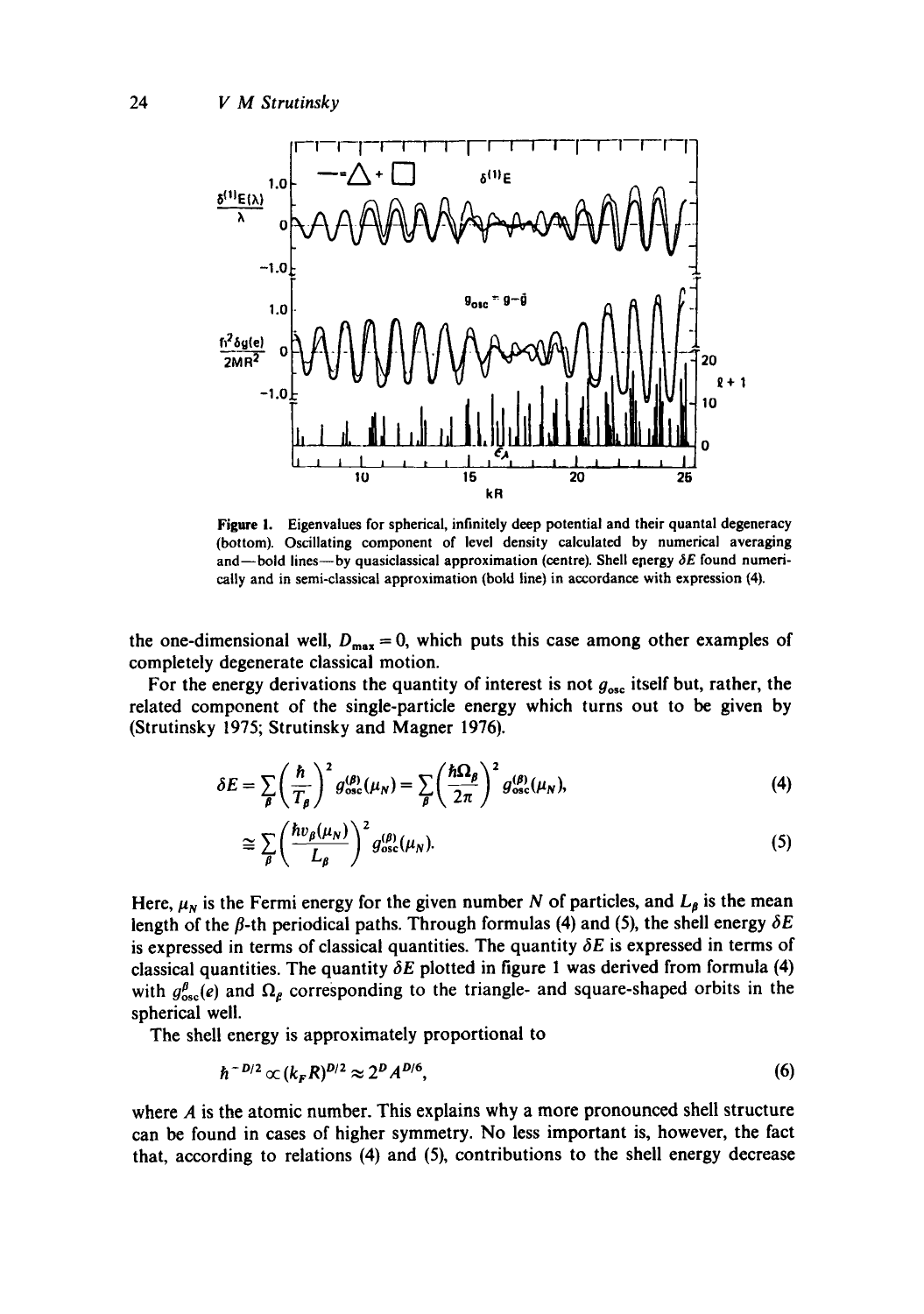

**Figure** i. Eigenvalues for spherical, infinitely deep potential and their quantal degeneracy (bottom). Oscillating component of level density calculated by numerical averaging and-bold lines---by quasiclassical approximation (centre). Shell energy  $\delta E$  found numerically and in semi-classical approximation (bold line) in accordance with expression (4).

the one-dimensional well,  $D_{\text{max}} = 0$ , which puts this case among other examples of completely degenerate classical motion.

For the energy derivations the quantity of interest is not  $g_{osc}$  itself but, rather, the related component of the single-particle energy which turns out to be given by (Strutinsky 1975; Strutinsky and Magner 1976).

$$
\delta E = \sum_{\beta} \left(\frac{\hbar}{T_{\beta}}\right)^2 g_{\rm osc}^{(\beta)}(\mu_N) = \sum_{\beta} \left(\frac{\hbar \Omega_{\beta}}{2\pi}\right)^2 g_{\rm osc}^{(\beta)}(\mu_N), \tag{4}
$$

$$
\cong \sum_{\beta} \left( \frac{hv_{\beta}(\mu_N)}{L_{\beta}} \right)^2 g_{\text{osc}}^{(\beta)}(\mu_N). \tag{5}
$$

Here,  $\mu_N$  is the Fermi energy for the given number N of particles, and  $L_\beta$  is the mean length of the  $\beta$ -th periodical paths. Through formulas (4) and (5), the shell energy  $\delta E$ is expressed in terms of classical quantities. The quantity  $\delta E$  is expressed in terms of classical quantities. The quantity  $\delta E$  plotted in figure 1 was derived from formula (4) with  $g_{\text{osc}}^{\beta}(e)$  and  $\Omega_{\beta}$  corresponding to the triangle- and square-shaped orbits in the spherical well.

The shell energy is approximately proportional to

$$
\hbar^{-D/2} \propto (k_{\rm F} R)^{D/2} \approx 2^D A^{D/6},\tag{6}
$$

where  $A$  is the atomic number. This explains why a more pronounced shell structure can be found in cases of higher symmetry. No less important is, however, the fact that, according to relations (4) and (5), contributions to the shell energy decrease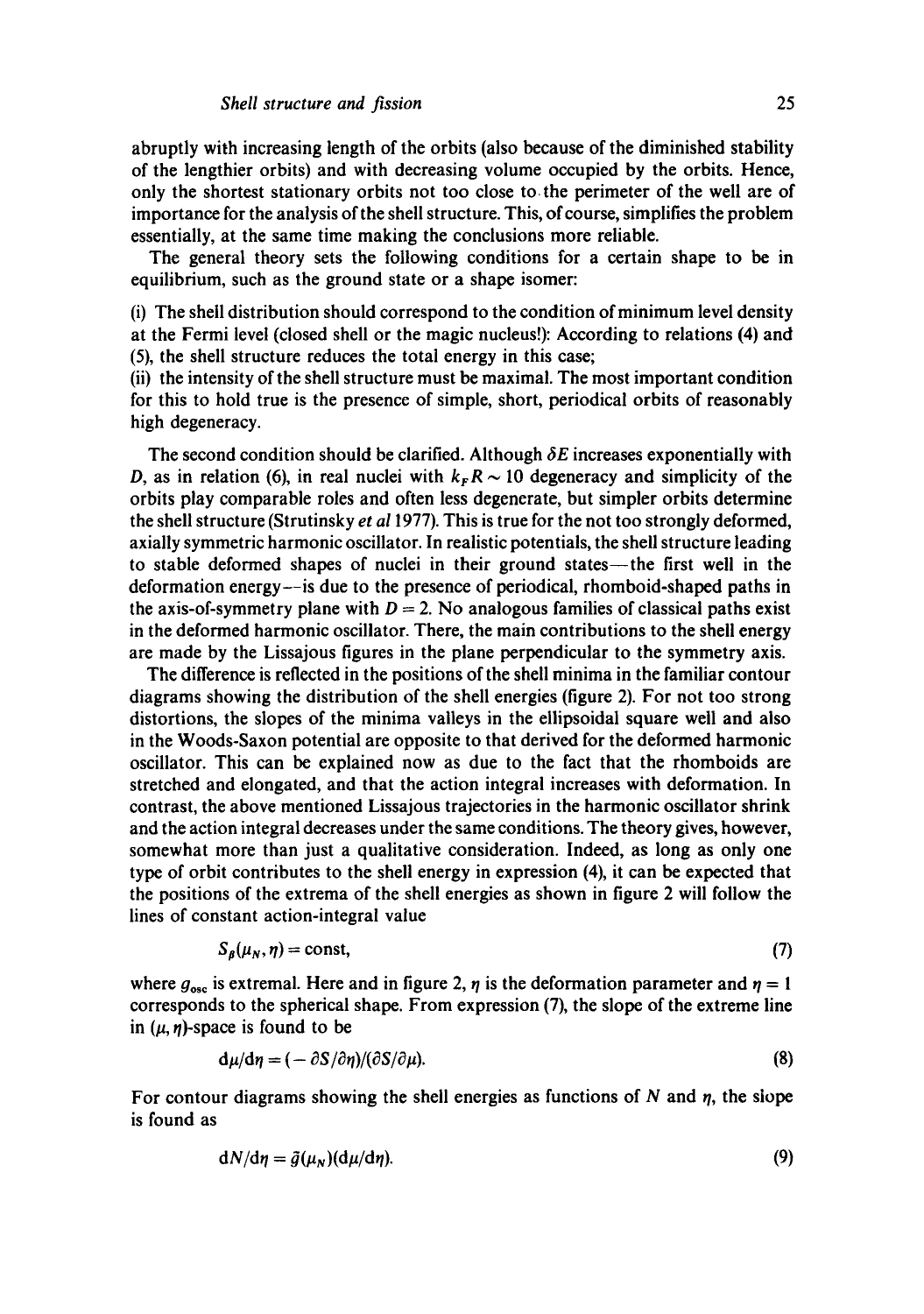abruptly with increasing length of the orbits (also because of the diminished stability of the lengthier orbits) and with decreasing volume occupied by the orbits. Hence, only the shortest stationary orbits not too close to. the perimeter of the well are of importance for the analysis of the shell structure. This, of course, simplifies the problem essentially, at the same time making the conclusions more reliable.

The general theory sets the following conditions for a certain shape to be in equilibrium, such as the ground state or a shape isomer:

(i) The shell distribution should correspond to the condition of minimum level density at the Fermi level (closed shell or the magic nucleus!): According to relations (4) and (5), the shell structure reduces the total energy in this case;

(ii) the intensity of the shell structure must be maximal. The most important condition for this to hold true is the presence of simple, short, periodical orbits of reasonably high degeneracy.

The second condition should be clarified. Although  $\delta E$  increases exponentially with D, as in relation (6), in real nuclei with  $k_F R \sim 10$  degeneracy and simplicity of the orbits play comparable roles and often less degenerate, but simpler orbits determine the shell structure (Strutinsky *et a11977).* This is true for the not too strongly deformed, axially symmetric harmonic oscillator. In realistic potentials, the shell structure leading to stable deformed shapes of nuclei in their ground states--the first well in the deformation energy--is due to the presence of periodical, rhomboid-shaped paths in the axis-of-symmetry plane with  $D = 2$ . No analogous families of classical paths exist in the deformed harmonic oscillator. There, the main contributions to the shell energy are made by the Lissajous figures in the plane perpendicular to the symmetry axis.

The difference is reflected in the positions of the shell minima in the familiar contour diagrams showing the distribution of the shell energies (figure 2). For not too strong distortions, the slopes of the minima valleys in the ellipsoidal square well and also in the Woods-Saxon potential are opposite to that derived for the deformed harmonic oscillator. This can be explained now as due to the fact that the rhomboids are stretched and elongated, and that the action integral increases with deformation. In contrast, the above mentioned Lissajous trajectories in the harmonic oscillator shrink and the action integral decreases under the same conditions. The theory gives, however, somewhat more than just a qualitative consideration. Indeed, as long as only one type of orbit contributes to the shell energy in expression (4), it can be expected that the positions of the extrema of the shell energies as shown in figure 2 will follow the lines of constant action-integral value

$$
S_{\beta}(\mu_N, \eta) = \text{const},\tag{7}
$$

where  $g_{osc}$  is extremal. Here and in figure 2,  $\eta$  is the deformation parameter and  $\eta = 1$ corresponds to the spherical shape. From expression (7), the slope of the extreme line in  $(\mu, \eta)$ -space is found to be

$$
\mathbf{d}\mu/\mathbf{d}\eta = (-\partial S/\partial\eta)/(\partial S/\partial\mu). \tag{8}
$$

For contour diagrams showing the shell energies as functions of  $N$  and  $\eta$ , the slope is found as

$$
dN/d\eta = \tilde{g}(\mu_N)(d\mu/d\eta). \tag{9}
$$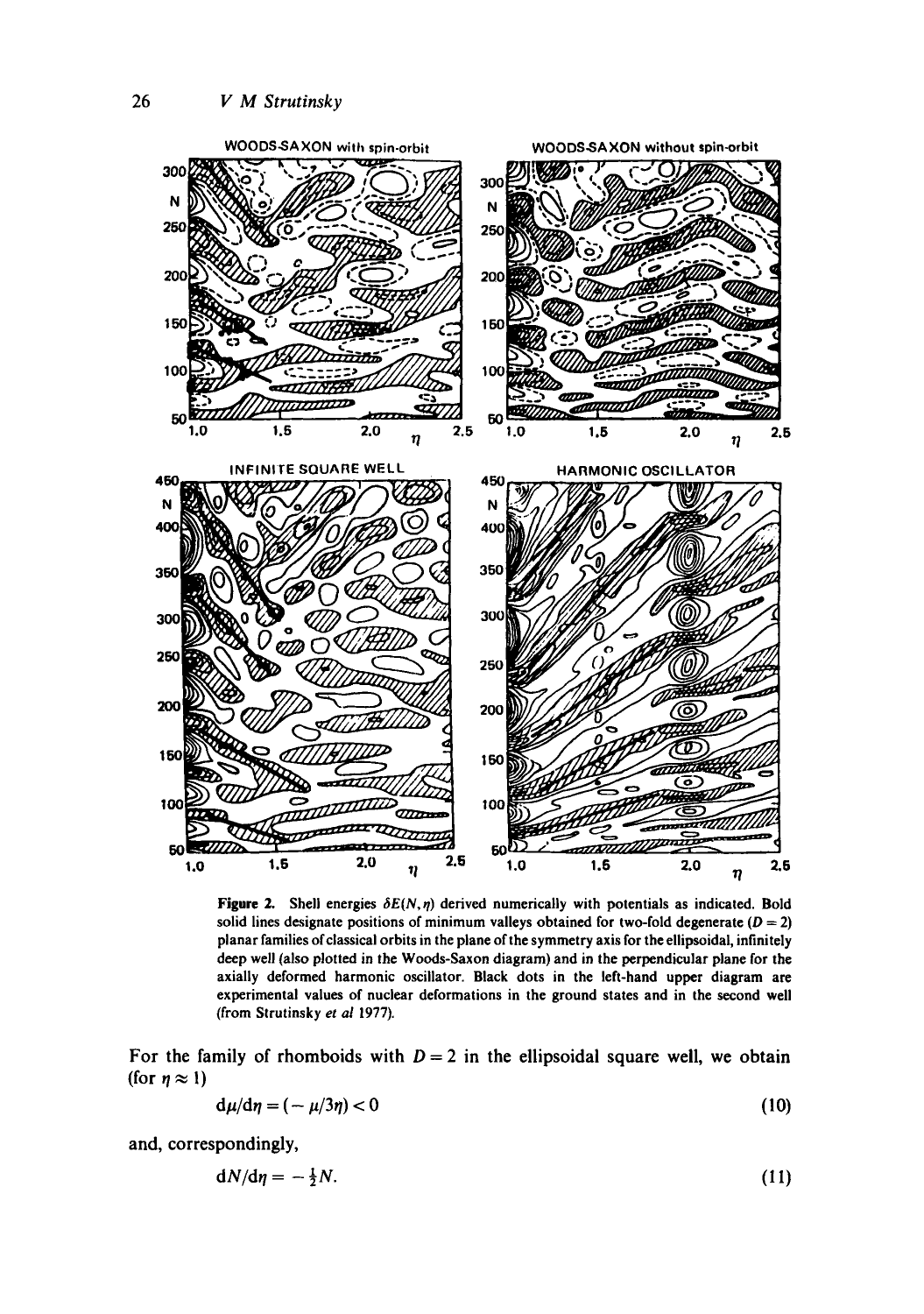

Figure 2. Shell energies  $\delta E(N,\eta)$  derived numerically with potentials as indicated. Bold solid lines designate positions of minimum valleys obtained for two-fold degenerate ( $D = 2$ ) planar families of classical orbits in the plane of the symmetry axis for the ellipsoidal, infinitely deep well (also plotted in the Woods-Saxon diagram) and in the perpendicular plane for the axially deformed harmonic oscillator. Black dots in the left-hand upper diagram are experimental values of nuclear deformations in the ground states and in the second well (from Strutinsky *et al* 1977).

For the family of rhomboids with  $D = 2$  in the ellipsoidal square well, we obtain (for  $\eta \approx 1$ )

$$
d\mu/d\eta = (-\mu/3\eta) < 0 \tag{10}
$$

and, correspondingly,

$$
dN/d\eta = -\frac{1}{2}N.\tag{11}
$$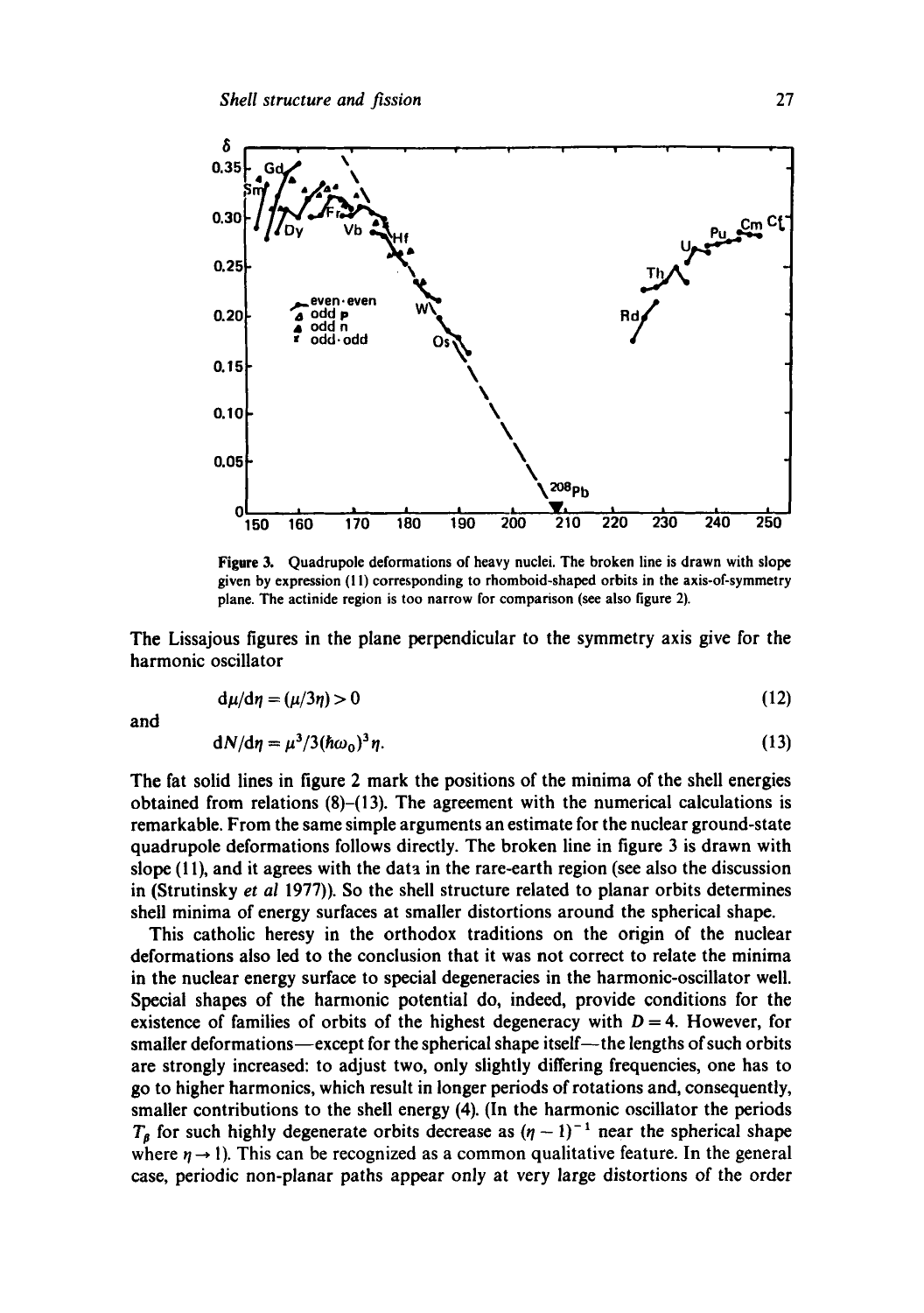

**Figure 3. Quadrupole deformations of heavy nuclei. The broken line is drawn with slope given by expression (I I) corresponding to rhomboid-shaped orbits in the axis-of-symmetry plane. The actinide region is too narrow for comparison (see also figure 2).** 

The Lissajous figures in the plane perpendicular to the symmetry axis give for the harmonic oscillator

$$
d\mu/d\eta = (\mu/3\eta) > 0 \tag{12}
$$

and

$$
dN/d\eta = \mu^3/3(\hbar\omega_0)^3\eta. \tag{13}
$$

The fat solid lines in figure 2 mark the positions of the minima of the shell energies obtained from relations (8)-(13). The agreement with the numerical calculations is remarkable. From the same simple arguments an estimate for the nuclear ground-state quadrupole deformations follows directly. The broken line in figure 3 is drawn with slope (1 **I),** and it agrees with the data in the rare-earth region (see also the discussion in (Strutinsky *et* **a1** 1977)). So the shell structure related to planar orbits determines shell minima of energy surfaces at smaller distortions around the spherical shape.

This catholic heresy in the orthodox traditions on the origin of the nuclear deformations also led to the conclusion that it was not correct to relate the minima in the nuclear energy surface to special degeneracies in the harmonic-oscillator well. Special shapes of the harmonic potential do, indeed, provide conditions for the existence of families of orbits of the highest degeneracy with  $D = 4$ . However, for smaller deformations-except for the spherical shape itself--the lengths of such orbits are strongly increased: to adjust two, only slightly differing frequencies, one has to go to higher harmonics, which result in longer periods of rotations and, consequently, smaller contributions to the shell energy (4). (In the harmonic oscillator the periods  $T<sub>g</sub>$  for such highly degenerate orbits decrease as  $(\eta - 1)^{-1}$  near the spherical shape where  $\eta \rightarrow 1$ ). This can be recognized as a common qualitative feature. In the general case, periodic non-planar paths appear only at very large distortions of the order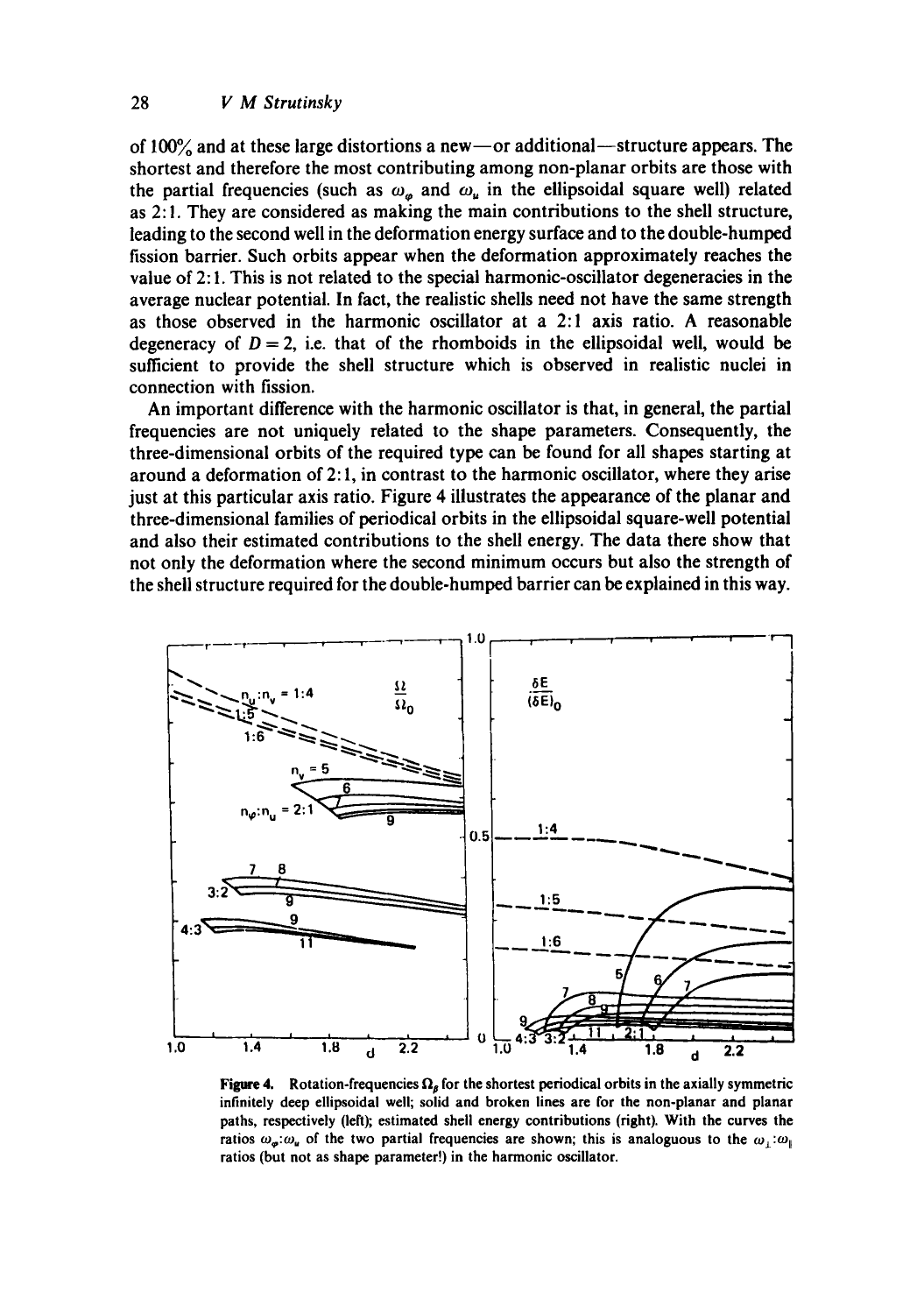of  $100\%$  and at these large distortions a new-- or additional--structure appears. The shortest and therefore the most contributing among non-planar orbits are those with the partial frequencies (such as  $\omega_{\mu}$  and  $\omega_{\mu}$  in the ellipsoidal square well) related as 2:1. They are considered as making the main contributions to the shell structure, leading to the second well in the deformation energy surface and to the double-humped fission barrier. Such orbits appear when the deformation approximately reaches the value of 2: I. This is not related to the special harmonic-oscillator degeneracies in the average nuclear potential. In fact, the realistic shells need not have the same strength as those observed in the harmonic oscillator at a 2:1 axis ratio. A reasonable degeneracy of  $D = 2$ , i.e. that of the rhomboids in the ellipsoidal well, would be sufficient to provide the shell structure which is observed in realistic nuclei in connection with fission.

An important difference with the harmonic oscillator is that, in general, the partial frequencies are not uniquely related to the shape parameters. Consequently, the three-dimensional orbits of the required type can be found for all shapes starting at around a deformation of 2:1, in contrast to the harmonic oscillator, where they arise just at this particular axis ratio. Figure 4 illustrates the appearance of the planar and three-dimensional families of periodical orbits in the ellipsoidal square-well potential and also their estimated contributions to the shell energy. The data there show that not only the deformation where the second minimum occurs but also the strength of the shell structure required for the double-humped barrier can be explained in this way.



Figure 4. Rotation-frequencies  $\Omega_{\beta}$  for the shortest periodical orbits in the axially symmetric infinitely deep ellipsoidal well; solid and broken lines are for the non-planar and planar paths, respectively (left); estimated shell energy contributions (right). With the curves the ratios  $\omega_{\mu}$ : $\omega_{\mu}$  of the two partial frequencies are shown; this is analoguous to the  $\omega_{\mu}$ : $\omega_{\mu}$ ratios (but not as shape parameter!) in the harmonic oscillator.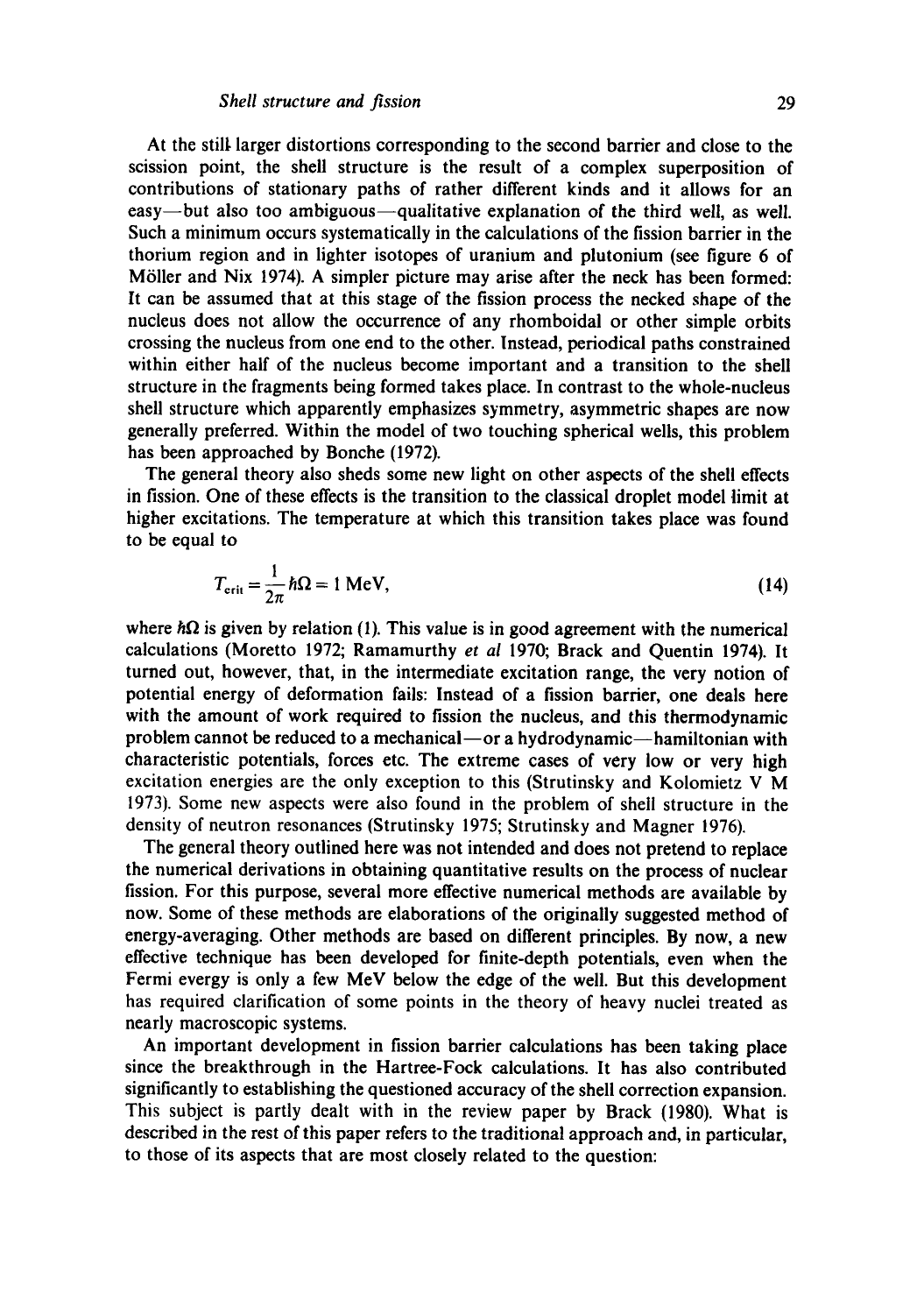At the still, larger distortions corresponding to the second barrier and close to the scission point, the shell structure is the result of a complex superposition of contributions of stationary paths of rather different kinds and it allows for an easy-but also too ambiguous-qualitative explanation of the third well, as well. Such a minimum occurs systematically in the calculations of the fission barrier in the thorium region and in lighter isotopes of uranium and plutonium (see figure 6 of Möller and Nix 1974). A simpler picture may arise after the neck has been formed: It can be assumed that at this stage of the fission process the necked shape of the nucleus does not allow the occurrence of any rhomboidal or other simple orbits crossing the nucleus from one end to the other. Instead, periodical paths constrained within either half of the nucleus become important and a transition to the shell structure in the fragments being formed takes place. In contrast to the whole-nucleus shell structure which apparently emphasizes symmetry, asymmetric shapes are now generally preferred. Within the model of two touching spherical wells, this problem has been approached by Bonche (1972).

The general theory also sheds some new light on other aspects of the shell effects in fission. One of these effects is the transition to the classical droplet model limit at higher excitations. The temperature at which this transition takes place was found to be equal to

$$
T_{\text{crit}} = \frac{1}{2\pi} \hbar \Omega = 1 \text{ MeV},\tag{14}
$$

where  $\hbar\Omega$  is given by relation (1). This value is in good agreement with the numerical calculations (Moretto 1972; Ramamurthy *et al* 1970; Brack and Quentin 1974). It turned out, however, that, in the intermediate excitation range, the very notion of potential energy of deformation fails: Instead of a fission barrier, one deals here with the amount of work required to fission the nucleus, and this thermodynamic problem cannot be reduced to a mechanical-or a hydrodynamic-hamiltonian with characteristic potentials, forces etc. The extreme cases of very low or very high excitation energies are the only exception to this (Strutinsky and Kolomietz V M 1973). Some new aspects were also found in the problem of shell structure in the density of neutron resonances (Strutinsky 1975; Strutinsky and Magner 1976).

The general theory outlined here was not intended and does not pretend to replace the numerical derivations in obtaining quantitative results on the process of nuclear fission. For this purpose, several more effective numerical methods are available by now. Some of these methods are elaborations of the originally suggested method of energy-averaging. Other methods are based on different principles. By now, a new effective technique has been developed for finite-depth potentials, even when the Fermi evergy is only a few MeV below the edge of the well. But this development has required clarification of some points in the theory of heavy nuclei treated as nearly macroscopic systems.

An important development in fission barrier calculations has been taking place since the breakthrough in the Hartree-Fock calculations. It has also contributed significantly to establishing the questioned accuracy of the shell correction expansion. This subject is partly dealt with in the review paper by Brack (1980). What is described in the rest of this paper refers to the traditional approach and, in particular, to those of its aspects that are most closely related to the question: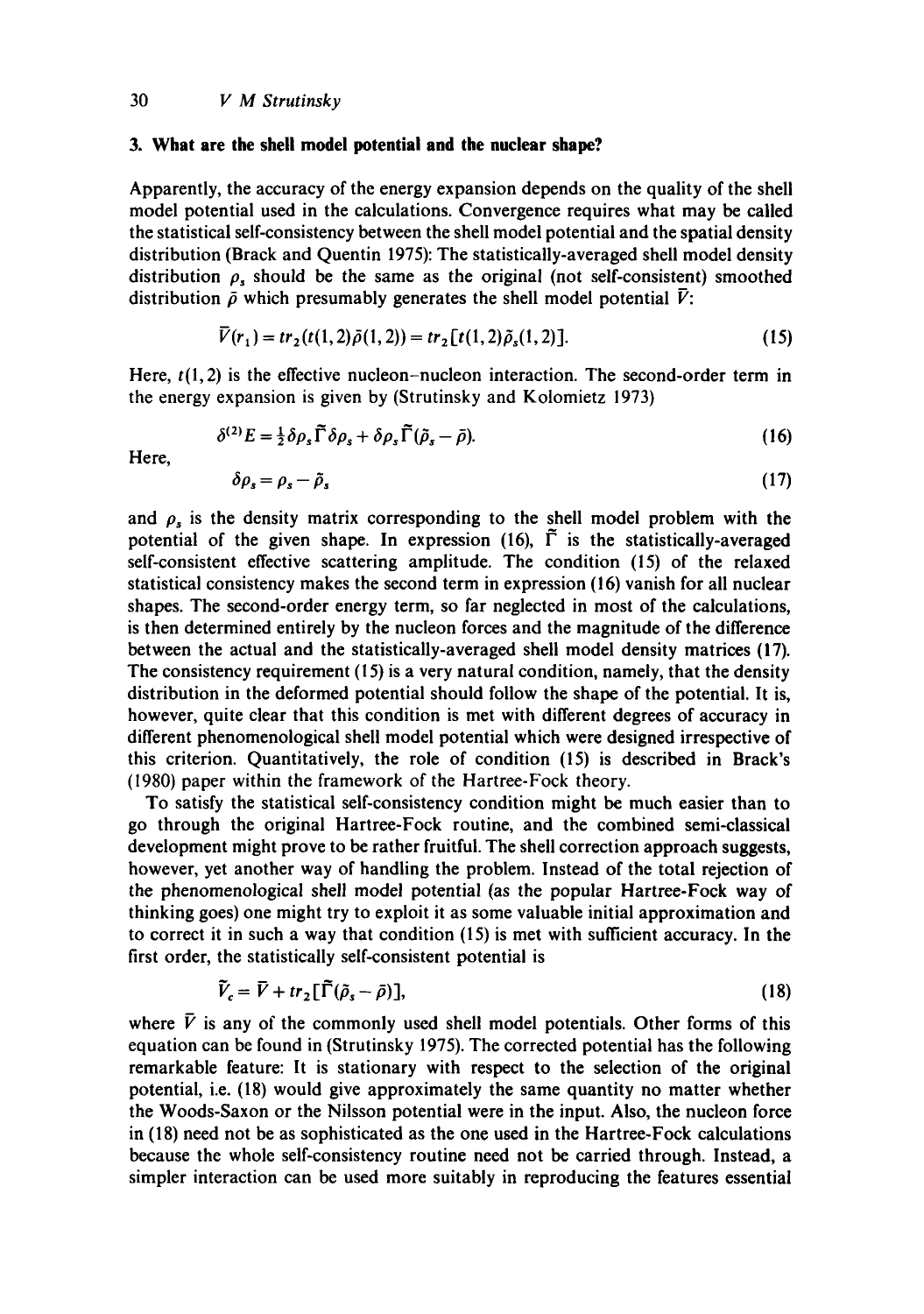## **3. What are the shell model potential and the nuclear shape?**

Apparently, the accuracy of the energy expansion depends on the quality of the shell model potential used in the calculations. Convergence requires what may be called the statistical self-consistency between the shell model potential and the spatial density distribution (Brack and Quentin 1975): The statistically-averaged shell model density distribution  $\rho$ , should be the same as the original (not self-consistent) smoothed distribution  $\bar{\rho}$  which presumably generates the shell model potential  $\bar{V}$ :

$$
\overline{V}(r_1) = tr_2(t(1,2)\overline{\rho}(1,2)) = tr_2[t(1,2)\overline{\rho}_s(1,2)].
$$
\n(15)

Here,  $t(1,2)$  is the effective nucleon-nucleon interaction. The second-order term in the energy expansion is given by (Strutinsky and Kolomietz 1973)

$$
\delta^{(2)}E = \frac{1}{2}\delta\rho_s\widetilde{\Gamma}\delta\rho_s + \delta\rho_s\widetilde{\Gamma}(\widetilde{\rho}_s - \bar{\rho}).
$$
\n(16)

Here,

$$
\delta \rho_s = \rho_s - \tilde{\rho}_s \tag{17}
$$

and  $\rho_s$  is the density matrix corresponding to the shell model problem with the potential of the given shape. In expression (16),  $\Gamma$  is the statistically-averaged self-consistent effective scattering amplitude. The condition (15) of the relaxed statistical consistency makes the second term in expression (16) vanish for all nuclear shapes. The second-order energy term, so far neglected in most of the calculations, is then determined entirely by the nucleon forces and the magnitude of the difference between the actual and the statistically-averaged shell model density matrices (17). The consistency requirement (15) is a very natural condition, namely, that the density distribution in the deformed potential should follow the shape of the potential. It is, however, quite clear that this condition is met with different degrees of accuracy in different phenomenoiogical shell model potential which were designed irrespective of this criterion. Quantitatively, the role of condition (15) is described in Brack's (1980) paper within the framework of the Hartree-Fock theory.

To satisfy the statistical self-consistency condition might be much easier than to go through the original Hartree-Fock routine, and the combined semi-classical development might prove to be rather fruitful. The shell correction approach suggests, however, yet another way of handling the problem. Instead of the total rejection of the phenomenological shell model potential (as the popular Hartree-Fock way of thinking goes) one might try to exploit it as some valuable initial approximation and to correct it in such a way that condition (15) is met with sufficient accuracy. In the first order, the statistically self-consistent potential is

$$
\tilde{V}_c = \bar{V} + tr_2[\tilde{\Gamma}(\tilde{\rho}_s - \bar{\rho})],\tag{18}
$$

where  $\bar{V}$  is any of the commonly used shell model potentials. Other forms of this equation can be found in (Strutinsky 1975). The corrected potential has the following remarkable feature: It is stationary with respect to the selection of the original potential, i.e. (18) would give approximately the same quantity no matter whether the Woods-Saxon or the Nilsson potential were in the input. Also, the nucleon force in (18) need not be as sophisticated as the one used in the Hartree-Fock calculations because the whole self-consistency routine need not be carried through. Instead, a simpler interaction can be used more suitably in reproducing the features essential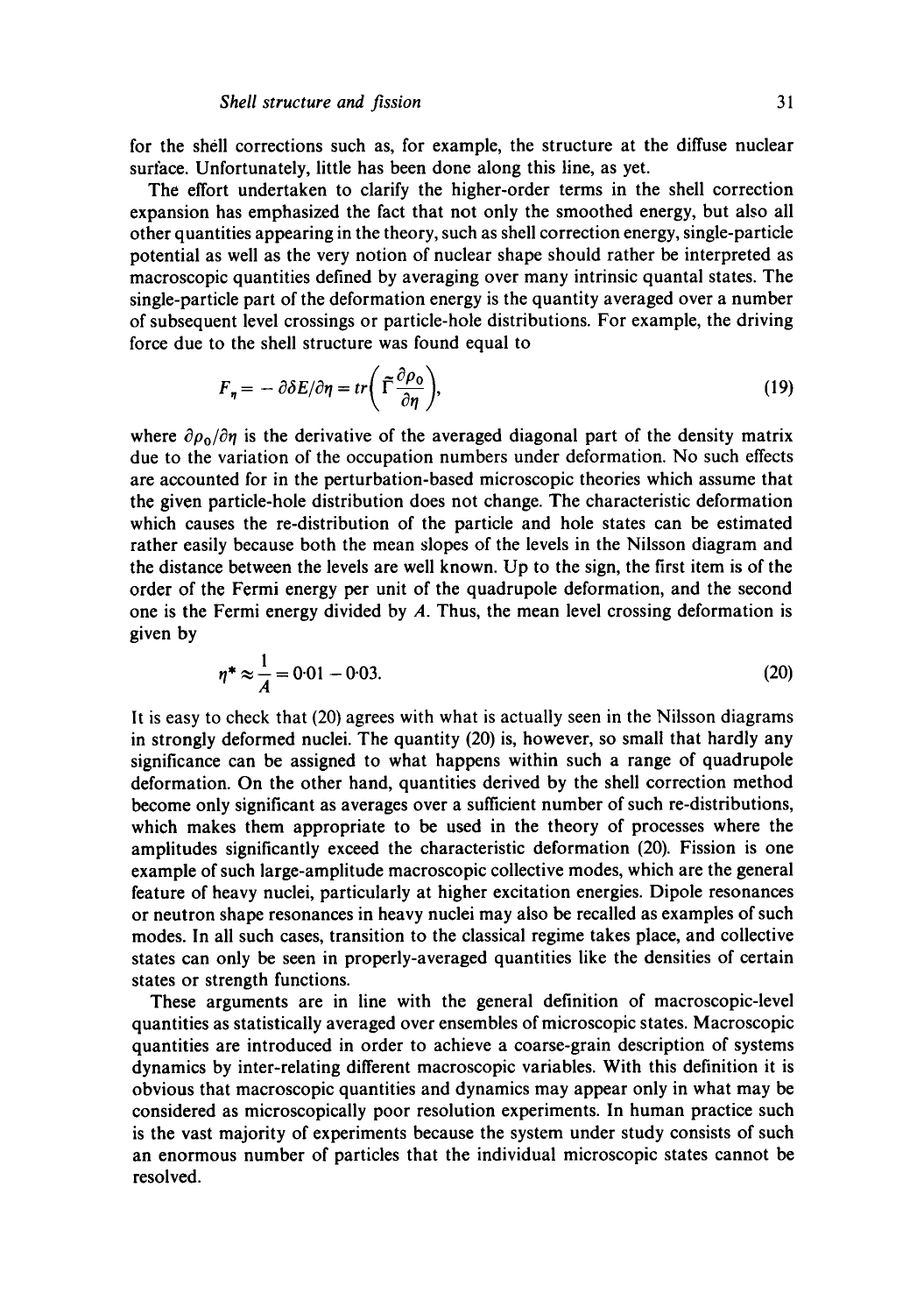for the sbell corrections such as, for example, the structure at the diffuse nuclear surface. Unfortunately, little has been done along this line, as yet.

The effort undertaken to clarify the higher-order terms in the shell correction expansion has emphasized the fact that not only the smoothed energy, but also all other quantities appearing in the theory, such as shell correction energy, single-particle potential as well as the very notion of nuclear shape should rather be interpreted as macroscopic quantities defined by averaging over many intrinsic quantal states. The single-particle part of the deformation energy is the quantity averaged over a number of subsequent level crossings or particle-hole distributions. For example, the driving force due to the shell structure was found equal to

$$
F_{\eta} = -\partial \delta E / \partial \eta = tr \left( \tilde{\Gamma} \frac{\partial \rho_0}{\partial \eta} \right), \tag{19}
$$

where  $\partial \rho_0 / \partial \eta$  is the derivative of the averaged diagonal part of the density matrix due to the variation of the occupation numbers under deformation. No such effects are accounted for in the perturbation-based microscopic theories which assume that the given particle-hole distribution does not change. The characteristic deformation which causes the re-distribution of the particle and hole states can be estimated rather easily because both the mean slopes of the levels in the Nilsson diagram and the distance between the levels are well known. Up to the sign, the first item is of the order of the Fermi energy per unit of the quadrupole deformation, and the second one is the Fermi energy divided by  $A$ . Thus, the mean level crossing deformation is given by

$$
\eta^* \approx \frac{1}{A} = 0.01 - 0.03. \tag{20}
$$

It is easy to check that (20) agrees with what is actually seen in the Nilsson diagrams in strongly deformed nuclei. The quantity (20) is, however, so small that hardly any significance can be assigned to what happens within such a range of quadrupole deformation. On the other hand, quantities derived by the shell correction method become only significant as averages over a sufficient number of such re-distributions, which makes them appropriate to be used in the theory of processes where the amplitudes significantly exceed the characteristic deformation (20). Fission is one example of such large-amplitude macroscopic collective modes, which are the general feature of heavy nuclei, particularly at higher excitation energies. Dipole resonances or neutron shape resonances in heavy nuclei may also be recalled as examples of such modes. In all such cases, transition to the classical regime takes place, and collective states can only be seen in properly-averaged quantities like the densities of certain states or strength functions.

These arguments are in line with the general definition of macroscopic-level quantities as statistically averaged over ensembles of microscopic states. Macroscopic quantities are introduced in order to achieve a coarse-grain description of systems dynamics by inter-relating different macroscopic variables. With this definition it is obvious that macroscopic quantities and dynamics may appear only in what may be considered as microscopically poor resolution experiments. In human practice such is the vast majority of experiments because the system under study consists of such an enormous number of particles that the individual microscopic states cannot be resolved.